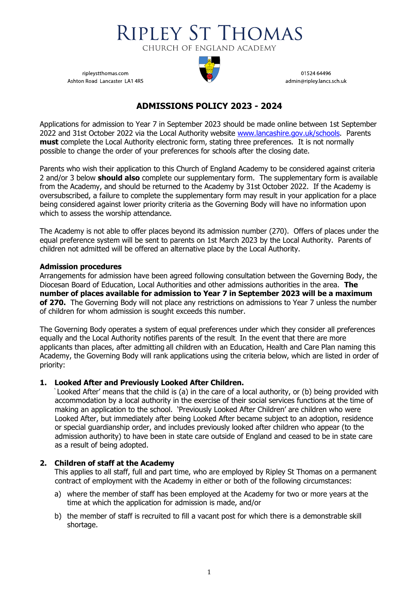

ripleystthomas.com Ashton Road Lancaster LA1 4RS



01524 64496 admin@ripley.lancs.sch.uk

# **ADMISSIONS POLICY 2023 - 2024**

Applications for admission to Year 7 in September 2023 should be made online between 1st September 2022 and 31st October 2022 via the Local Authority website [www.lancashire.gov.uk/](http://www.lancashire.gov.uk/)schools. Parents **must** complete the Local Authority electronic form, stating three preferences. It is not normally possible to change the order of your preferences for schools after the closing date.

Parents who wish their application to this Church of England Academy to be considered against criteria 2 and/or 3 below **should also** complete our supplementary form. The supplementary form is available from the Academy, and should be returned to the Academy by 31st October 2022. If the Academy is oversubscribed, a failure to complete the supplementary form may result in your application for a place being considered against lower priority criteria as the Governing Body will have no information upon which to assess the worship attendance.

The Academy is not able to offer places beyond its admission number (270). Offers of places under the equal preference system will be sent to parents on 1st March 2023 by the Local Authority. Parents of children not admitted will be offered an alternative place by the Local Authority.

# **Admission procedures**

Arrangements for admission have been agreed following consultation between the Governing Body, the Diocesan Board of Education, Local Authorities and other admissions authorities in the area. **The number of places available for admission to Year 7 in September 2023 will be a maximum of 270.** The Governing Body will not place any restrictions on admissions to Year 7 unless the number of children for whom admission is sought exceeds this number.

The Governing Body operates a system of equal preferences under which they consider all preferences equally and the Local Authority notifies parents of the result. In the event that there are more applicants than places, after admitting all children with an Education, Health and Care Plan naming this Academy, the Governing Body will rank applications using the criteria below, which are listed in order of priority:

# **1. Looked After and Previously Looked After Children.**

' Looked After' means that the child is (a) in the care of a local authority, or (b) being provided with accommodation by a local authority in the exercise of their social services functions at the time of making an application to the school. 'Previously Looked After Children' are children who were Looked After, but immediately after being Looked After became subject to an adoption, residence or special guardianship order, and includes previously looked after children who appear (to the admission authority) to have been in state care outside of England and ceased to be in state care as a result of being adopted.

# **2. Children of staff at the Academy**

This applies to all staff, full and part time, who are employed by Ripley St Thomas on a permanent contract of employment with the Academy in either or both of the following circumstances:

- a) where the member of staff has been employed at the Academy for two or more years at the time at which the application for admission is made, and/or
- b) the member of staff is recruited to fill a vacant post for which there is a demonstrable skill shortage.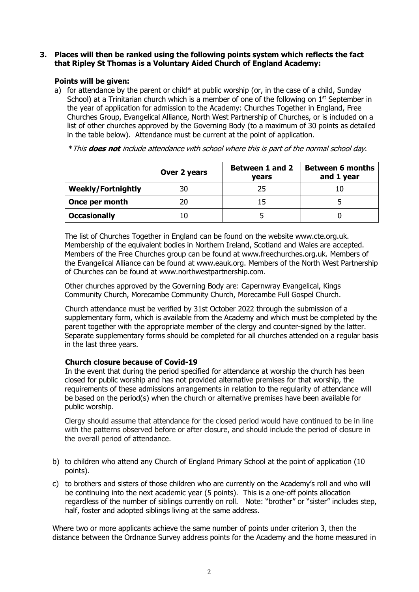## **3. Places will then be ranked using the following points system which reflects the fact that Ripley St Thomas is a Voluntary Aided Church of England Academy:**

# **Points will be given:**

a) for attendance by the parent or child\* at public worship (or, in the case of a child, Sunday School) at a Trinitarian church which is a member of one of the following on  $1<sup>st</sup>$  September in the year of application for admission to the Academy: Churches Together in England, Free Churches Group, Evangelical Alliance, North West Partnership of Churches, or is included on a list of other churches approved by the Governing Body (to a maximum of 30 points as detailed in the table below). Attendance must be current at the point of application.

\*This **does not** include attendance with school where this is part of the normal school day.

|                           | Over 2 years | <b>Between 1 and 2</b><br><b>vears</b> | <b>Between 6 months</b><br>and 1 year |
|---------------------------|--------------|----------------------------------------|---------------------------------------|
| <b>Weekly/Fortnightly</b> | 30           | 25                                     |                                       |
| Once per month            | 20           |                                        |                                       |
| <b>Occasionally</b>       | 10           |                                        |                                       |

The list of Churches Together in England can be found on the website [www.cte.org.uk.](http://www.cte.org.uk/) Membership of the equivalent bodies in Northern Ireland, Scotland and Wales are accepted. Members of the Free Churches group can be found at www.freechurches.org.uk. Members of the Evangelical Alliance can be found at [www.eauk.org.](http://www.eauk.org/) Members of the North West Partnership of Churches can be found at [www.northwestpartnership.com.](http://www.northwestpartnership.com/)

Other churches approved by the Governing Body are: Capernwray Evangelical, Kings Community Church, Morecambe Community Church, Morecambe Full Gospel Church.

Church attendance must be verified by 31st October 2022 through the submission of a supplementary form, which is available from the Academy and which must be completed by the parent together with the appropriate member of the clergy and counter-signed by the latter. Separate supplementary forms should be completed for all churches attended on a regular basis in the last three years.

# **Church closure because of Covid-19**

In the event that during the period specified for attendance at worship the church has been closed for public worship and has not provided alternative premises for that worship, the requirements of these admissions arrangements in relation to the regularity of attendance will be based on the period(s) when the church or alternative premises have been available for public worship.

Clergy should assume that attendance for the closed period would have continued to be in line with the patterns observed before or after closure, and should include the period of closure in the overall period of attendance.

- b) to children who attend any Church of England Primary School at the point of application (10 points).
- c) to brothers and sisters of those children who are currently on the Academy's roll and who will be continuing into the next academic year (5 points). This is a one-off points allocation regardless of the number of siblings currently on roll. Note: "brother" or "sister" includes step, half, foster and adopted siblings living at the same address.

Where two or more applicants achieve the same number of points under criterion 3, then the distance between the Ordnance Survey address points for the Academy and the home measured in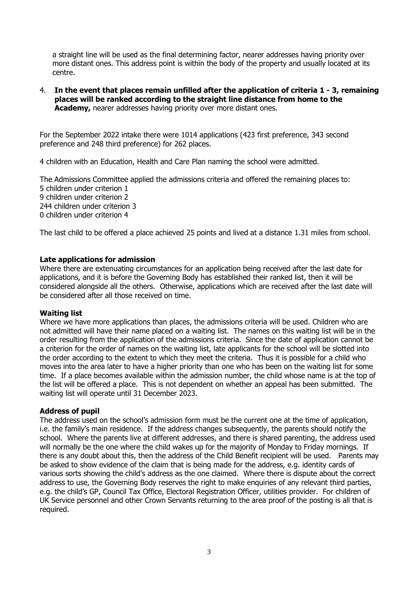a straight line will be used as the final determining factor, nearer addresses having priority over more distant ones. This address point is within the body of the property and usually located at its centre.

4. **In the event that places remain unfilled after the application of criteria 1 - 3, remaining places will be ranked according to the straight line distance from home to the Academy,** nearer addresses having priority over more distant ones.

For the September 2022 intake there were 1014 applications (423 first preference, 343 second preference and 248 third preference) for 262 places.

4 children with an Education, Health and Care Plan naming the school were admitted.

The Admissions Committee applied the admissions criteria and offered the remaining places to: children under criterion 1 children under criterion 2 children under criterion 3 children under criterion 4

The last child to be offered a place achieved 25 points and lived at a distance 1.31 miles from school.

## **Late applications for admission**

Where there are extenuating circumstances for an application being received after the last date for applications, and it is before the Governing Body has established their ranked list, then it will be considered alongside all the others. Otherwise, applications which are received after the last date will be considered after all those received on time.

#### **Waiting list**

Where we have more applications than places, the admissions criteria will be used. Children who are not admitted will have their name placed on a waiting list. The names on this waiting list will be in the order resulting from the application of the admissions criteria. Since the date of application cannot be a criterion for the order of names on the waiting list, late applicants for the school will be slotted into the order according to the extent to which they meet the criteria. Thus it is possible for a child who moves into the area later to have a higher priority than one who has been on the waiting list for some time. If a place becomes available within the admission number, the child whose name is at the top of the list will be offered a place. This is not dependent on whether an appeal has been submitted. The waiting list will operate until 31 December 2023.

#### **Address of pupil**

The address used on the school's admission form must be the current one at the time of application, i.e. the family's main residence. If the address changes subsequently, the parents should notify the school. Where the parents live at different addresses, and there is shared parenting, the address used will normally be the one where the child wakes up for the majority of Monday to Friday mornings. If there is any doubt about this, then the address of the Child Benefit recipient will be used. Parents may be asked to show evidence of the claim that is being made for the address, e.g. identity cards of various sorts showing the child's address as the one claimed. Where there is dispute about the correct address to use, the Governing Body reserves the right to make enquiries of any relevant third parties, e.g. the child's GP, Council Tax Office, Electoral Registration Officer, utilities provider. For children of UK Service personnel and other Crown Servants returning to the area proof of the posting is all that is required.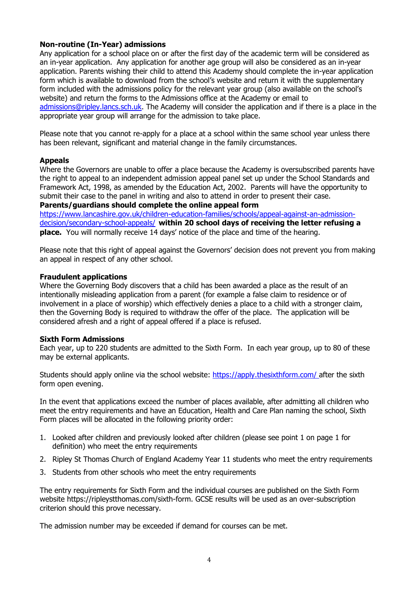# **Non-routine (In-Year) admissions**

Any application for a school place on or after the first day of the academic term will be considered as an in-year application. Any application for another age group will also be considered as an in-year application. Parents wishing their child to attend this Academy should complete the in-year application form which is available to download from the school's website and return it with the supplementary form included with the admissions policy for the relevant year group (also available on the school's website) and return the forms to the Admissions office at the Academy or email to [admissions@ripley.lancs.sch.uk.](mailto:admissions@ripley.lancs.sch.uk) The Academy will consider the application and if there is a place in the appropriate year group will arrange for the admission to take place.

Please note that you cannot re-apply for a place at a school within the same school year unless there has been relevant, significant and material change in the family circumstances.

## **Appeals**

Where the Governors are unable to offer a place because the Academy is oversubscribed parents have the right to appeal to an independent admission appeal panel set up under the School Standards and Framework Act, 1998, as amended by the Education Act, 2002. Parents will have the opportunity to submit their case to the panel in writing and also to attend in order to present their case. **Parents/guardians should complete the online appeal form**

[https://www.lancashire.gov.uk/children-education-families/schools/appeal-against-an-admission](https://www.lancashire.gov.uk/children-education-families/schools/appeal-against-an-admission-decision/secondary-school-appeals/)[decision/secondary-school-appeals/](https://www.lancashire.gov.uk/children-education-families/schools/appeal-against-an-admission-decision/secondary-school-appeals/) **within 20 school days of receiving the letter refusing a place.** You will normally receive 14 days' notice of the place and time of the hearing.

Please note that this right of appeal against the Governors' decision does not prevent you from making an appeal in respect of any other school.

#### **Fraudulent applications**

Where the Governing Body discovers that a child has been awarded a place as the result of an intentionally misleading application from a parent (for example a false claim to residence or of involvement in a place of worship) which effectively denies a place to a child with a stronger claim, then the Governing Body is required to withdraw the offer of the place. The application will be considered afresh and a right of appeal offered if a place is refused.

#### **Sixth Form Admissions**

Each year, up to 220 students are admitted to the Sixth Form. In each year group, up to 80 of these may be external applicants.

Students should apply online via the school website: [https://apply.thesixthform.com/](https://apply.thesixthform.com/ ) after the sixth form open evening.

In the event that applications exceed the number of places available, after admitting all children who meet the entry requirements and have an Education, Health and Care Plan naming the school, Sixth Form places will be allocated in the following priority order:

- 1. Looked after children and previously looked after children (please see point 1 on page 1 for definition) who meet the entry requirements
- 2. Ripley St Thomas Church of England Academy Year 11 students who meet the entry requirements
- 3. Students from other schools who meet the entry requirements

The entry requirements for Sixth Form and the individual courses are published on the Sixth Form website https://ripleystthomas.com/sixth-form. GCSE results will be used as an over-subscription criterion should this prove necessary.

The admission number may be exceeded if demand for courses can be met.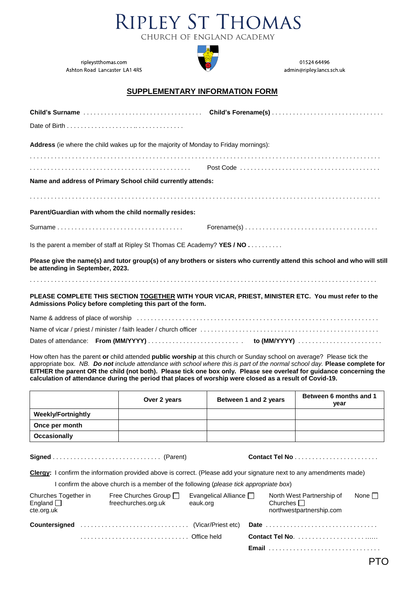



01524 64496 admin@ripley.lancs.sch.uk

ripleystthomas.com Ashton Road Lancaster LA1 4RS

#### **SUPPLEMENTARY INFORMATION FORM**

|                                                                                                                                                                  | Child's Surname Child's Forename(s)                                                                                       |
|------------------------------------------------------------------------------------------------------------------------------------------------------------------|---------------------------------------------------------------------------------------------------------------------------|
|                                                                                                                                                                  |                                                                                                                           |
| Address (ie where the child wakes up for the majority of Monday to Friday mornings):                                                                             |                                                                                                                           |
|                                                                                                                                                                  |                                                                                                                           |
|                                                                                                                                                                  |                                                                                                                           |
| Name and address of Primary School child currently attends:                                                                                                      |                                                                                                                           |
|                                                                                                                                                                  |                                                                                                                           |
| Parent/Guardian with whom the child normally resides:                                                                                                            |                                                                                                                           |
|                                                                                                                                                                  | $\mathsf{Forename}(s) \dots \dots \dots \dots \dots \dots \dots \dots \dots \dots \dots \dots \dots$                      |
| Is the parent a member of staff at Ripley St Thomas CE Academy? YES / NO                                                                                         |                                                                                                                           |
| be attending in September, 2023.                                                                                                                                 | Please give the name(s) and tutor group(s) of any brothers or sisters who currently attend this school and who will still |
|                                                                                                                                                                  |                                                                                                                           |
| PLEASE COMPLETE THIS SECTION TOGETHER WITH YOUR VICAR, PRIEST, MINISTER ETC. You must refer to the<br>Admissions Policy before completing this part of the form. |                                                                                                                           |
|                                                                                                                                                                  |                                                                                                                           |
|                                                                                                                                                                  |                                                                                                                           |
|                                                                                                                                                                  |                                                                                                                           |

How often has the parent **or** child attended **public worship** at this church or Sunday school on average? Please tick the appropriate box. *NB. Do not include attendance with school where this is part of the normal school day.* **Please complete for EITHER the parent OR the child (not both). Please tick one box only. Please see overleaf for guidance concerning the calculation of attendance during the period that places of worship were closed as a result of Covid-19.**

|                           | Over 2 years | Between 1 and 2 years | Between 6 months and 1<br>year |
|---------------------------|--------------|-----------------------|--------------------------------|
| <b>Weekly/Fortnightly</b> |              |                       |                                |
| Once per month            |              |                       |                                |
| <b>Occasionally</b>       |              |                       |                                |

**Signed** . . . . . . . . . . . . . . . . . . . . . . . . . . . . . . . (Parent) **Contact Tel No** . . . . . . . . . . . . . . . . . . . . . . . .

**Clergy:** I confirm the information provided above is correct. (Please add your signature next to any amendments made)

I confirm the above church is a member of the following (*please tick appropriate box*)

| Churches Together in<br>England $\Box$<br>cte.org.uk |  | Free Churches Group $\Box$<br>freechurches.org.uk | Evangelical Alliance $\Box$<br>eauk.org |  | North West Partnership of<br>Churches $\Box$<br>northwestpartnership.com | None $\square$ |
|------------------------------------------------------|--|---------------------------------------------------|-----------------------------------------|--|--------------------------------------------------------------------------|----------------|
|                                                      |  |                                                   |                                         |  |                                                                          |                |
|                                                      |  |                                                   |                                         |  |                                                                          |                |
|                                                      |  |                                                   |                                         |  | <b>Email</b>                                                             |                |